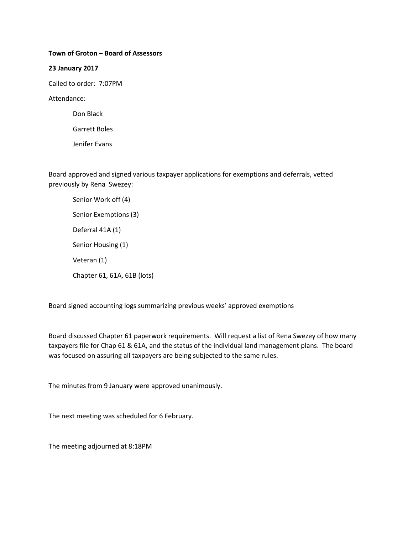## **Town of Groton – Board of Assessors**

### **23 January 2017**

Called to order: 7:07PM

Attendance:

Don Black

Garrett Boles

Jenifer Evans

Board approved and signed various taxpayer applications for exemptions and deferrals, vetted previously by Rena Swezey:

Senior Work off (4) Senior Exemptions (3) Deferral 41A (1) Senior Housing (1) Veteran (1) Chapter 61, 61A, 61B (lots)

Board signed accounting logs summarizing previous weeks' approved exemptions

Board discussed Chapter 61 paperwork requirements. Will request a list of Rena Swezey of how many taxpayers file for Chap 61 & 61A, and the status of the individual land management plans. The board was focused on assuring all taxpayers are being subjected to the same rules.

The minutes from 9 January were approved unanimously.

The next meeting was scheduled for 6 February.

The meeting adjourned at 8:18PM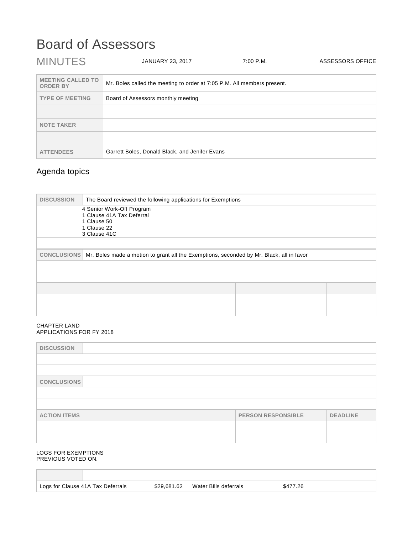# Board of Assessors

| <b>MINUTES</b>                              | <b>JANUARY 23, 2017</b>                                                 | 7:00 P.M. | ASSESSORS OFFICE |
|---------------------------------------------|-------------------------------------------------------------------------|-----------|------------------|
| <b>MEETING CALLED TO</b><br><b>ORDER BY</b> | Mr. Boles called the meeting to order at 7:05 P.M. All members present. |           |                  |
| <b>TYPE OF MEETING</b>                      | Board of Assessors monthly meeting                                      |           |                  |
|                                             |                                                                         |           |                  |
| <b>NOTE TAKER</b>                           |                                                                         |           |                  |
|                                             |                                                                         |           |                  |
| <b>ATTENDEES</b>                            | Garrett Boles, Donald Black, and Jenifer Evans                          |           |                  |

# Agenda topics

| <b>DISCUSSION</b>                                                                                              | The Board reviewed the following applications for Exemptions                                         |  |  |
|----------------------------------------------------------------------------------------------------------------|------------------------------------------------------------------------------------------------------|--|--|
|                                                                                                                | 4 Senior Work-Off Program<br>1 Clause 41A Tax Deferral<br>1 Clause 50<br>1 Clause 22<br>3 Clause 41C |  |  |
| Mr. Boles made a motion to grant all the Exemptions, seconded by Mr. Black, all in favor<br><b>CONCLUSIONS</b> |                                                                                                      |  |  |
|                                                                                                                |                                                                                                      |  |  |
|                                                                                                                |                                                                                                      |  |  |

### CHAPTER LAND APPLICATIONS FOR FY 2018

| <b>DISCUSSION</b>   |                           |                 |
|---------------------|---------------------------|-----------------|
|                     |                           |                 |
|                     |                           |                 |
| <b>CONCLUSIONS</b>  |                           |                 |
|                     |                           |                 |
|                     |                           |                 |
| <b>ACTION ITEMS</b> | <b>PERSON RESPONSIBLE</b> | <b>DEADLINE</b> |
|                     |                           |                 |
|                     |                           |                 |

### LOGS FOR EXEMPTIONS PREVIOUS VOTED ON.

|  |  | Logs for Clause 41A Tax Deferrals |
|--|--|-----------------------------------|
|  |  |                                   |